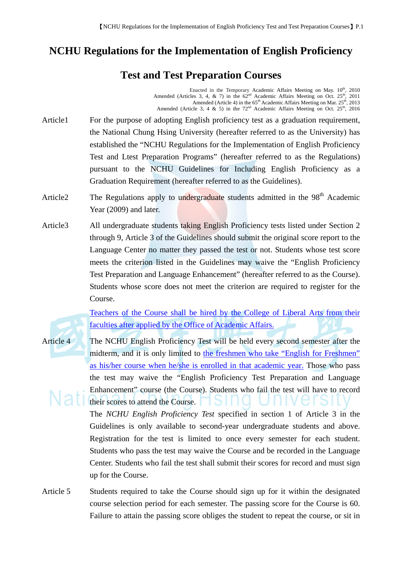## **NCHU Regulations for the Implementation of English Proficiency**

## **Test and Test Preparation Courses**

Enacted in the Temporary Academic Affairs Meeting on May.  $10<sup>th</sup>$ , 2010 Amended (Articles 3, 4, & 7) in the  $62<sup>nd</sup>$  Academic Affairs Meeting on Oct. 25<sup>th</sup>, 2011 Amended (Article 4) in the 65<sup>th</sup> Academic Affairs Meeting on Mar. 25<sup>th</sup>, 2013 Amended (Article 3, 4  $\&$  5) in the  $72<sup>nd</sup>$  Academic Affairs Meeting on Oct.  $25<sup>th</sup>$ , 2016

- Article1 For the purpose of adopting English proficiency test as a graduation requirement, the National Chung Hsing University (hereafter referred to as the University) has established the "NCHU Regulations for the Implementation of English Proficiency Test and Ltest Preparation Programs" (hereafter referred to as the Regulations) pursuant to the NCHU Guidelines for Including English Proficiency as a Graduation Requirement (hereafter referred to as the Guidelines).
- Article2 The Regulations apply to undergraduate students admitted in the 98<sup>th</sup> Academic Year (2009) and later.
- Article3 All undergraduate students taking English Proficiency tests listed under Section 2 through 9, Article 3 of the Guidelines should submit the original score report to the Language Center no matter they passed the test or not. Students whose test score meets the criterion listed in the Guidelines may waive the "English Proficiency Test Preparation and Language Enhancement" (hereafter referred to as the Course). Students whose score does not meet the criterion are required to register for the Course.

Teachers of the Course shall be hired by the College of Liberal Arts from their faculties after applied by the Office of Academic Affairs.

Article 4 The NCHU English Proficiency Test will be held every second semester after the midterm, and it is only limited to the freshmen who take "English for Freshmen" as his/her course when he/she is enrolled in that academic year. Those who pass the test may waive the "English Proficiency Test Preparation and Language Enhancement" course (the Course). Students who fail the test will have to record their scores to attend the Course.

> The *NCHU English Proficiency Test* specified in section 1 of Article 3 in the Guidelines is only available to second-year undergraduate students and above. Registration for the test is limited to once every semester for each student. Students who pass the test may waive the Course and be recorded in the Language Center. Students who fail the test shall submit their scores for record and must sign up for the Course.

Article 5 Students required to take the Course should sign up for it within the designated course selection period for each semester. The passing score for the Course is 60. Failure to attain the passing score obliges the student to repeat the course, or sit in